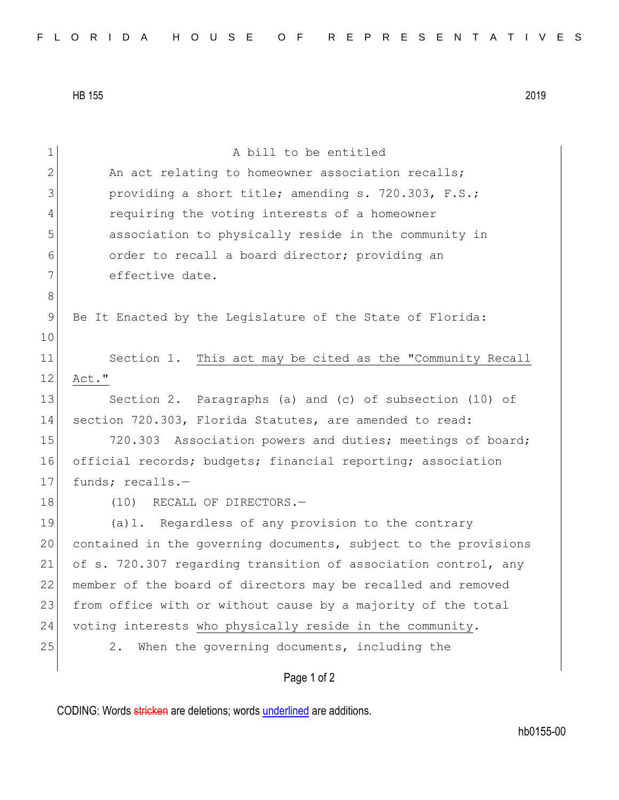HB 155 2019

| 1  | A bill to be entitled                                           |
|----|-----------------------------------------------------------------|
| 2  | An act relating to homeowner association recalls;               |
| 3  | providing a short title; amending s. 720.303, F.S.;             |
| 4  | requiring the voting interests of a homeowner                   |
| 5  | association to physically reside in the community in            |
| 6  | order to recall a board director; providing an                  |
| 7  | effective date.                                                 |
| 8  |                                                                 |
| 9  | Be It Enacted by the Legislature of the State of Florida:       |
| 10 |                                                                 |
| 11 | Section 1. This act may be cited as the "Community Recall       |
| 12 | Act."                                                           |
| 13 | Section 2. Paragraphs (a) and (c) of subsection (10) of         |
| 14 | section 720.303, Florida Statutes, are amended to read:         |
| 15 | 720.303 Association powers and duties; meetings of board;       |
| 16 | official records; budgets; financial reporting; association     |
| 17 | funds; recalls.-                                                |
| 18 | (10)<br>RECALL OF DIRECTORS.-                                   |
| 19 | (a) 1. Regardless of any provision to the contrary              |
| 20 | contained in the governing documents, subject to the provisions |
| 21 | of s. 720.307 regarding transition of association control, any  |
| 22 | member of the board of directors may be recalled and removed    |
| 23 | from office with or without cause by a majority of the total    |
| 24 | voting interests who physically reside in the community.        |
| 25 | When the governing documents, including the<br>2.               |
|    | Page 1 of 2                                                     |

CODING: Words stricken are deletions; words underlined are additions.